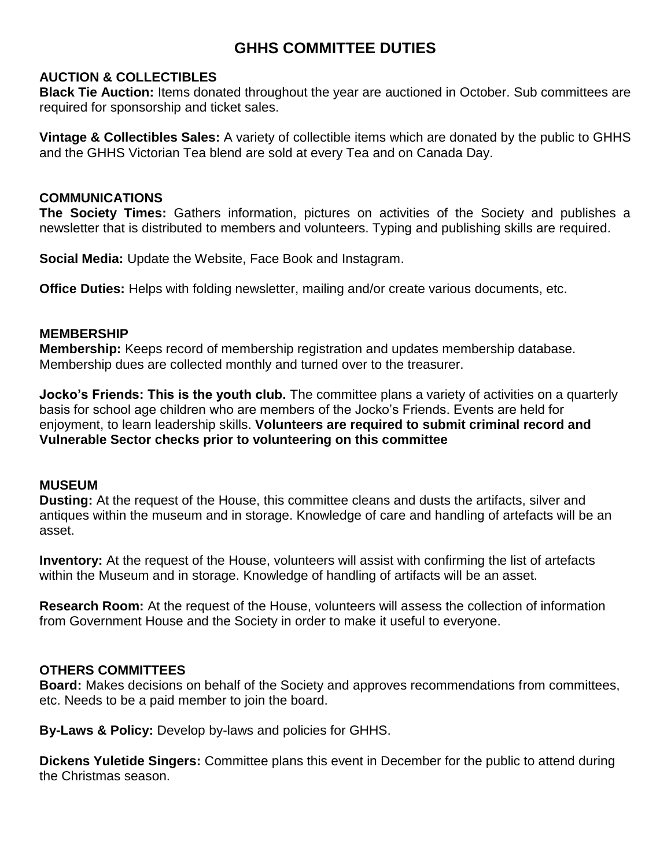# **GHHS COMMITTEE DUTIES**

## **AUCTION & COLLECTIBLES**

**Black Tie Auction:** Items donated throughout the year are auctioned in October. Sub committees are required for sponsorship and ticket sales.

**Vintage & Collectibles Sales:** A variety of collectible items which are donated by the public to GHHS and the GHHS Victorian Tea blend are sold at every Tea and on Canada Day.

## **COMMUNICATIONS**

**The Society Times:** Gathers information, pictures on activities of the Society and publishes a newsletter that is distributed to members and volunteers. Typing and publishing skills are required.

**Social Media:** Update the Website, Face Book and Instagram.

**Office Duties:** Helps with folding newsletter, mailing and/or create various documents, etc.

### **MEMBERSHIP**

**Membership:** Keeps record of membership registration and updates membership database. Membership dues are collected monthly and turned over to the treasurer.

**Jocko's Friends: This is the youth club.** The committee plans a variety of activities on a quarterly basis for school age children who are members of the Jocko's Friends. Events are held for enjoyment, to learn leadership skills. **Volunteers are required to submit criminal record and Vulnerable Sector checks prior to volunteering on this committee**

#### **MUSEUM**

**Dusting:** At the request of the House, this committee cleans and dusts the artifacts, silver and antiques within the museum and in storage. Knowledge of care and handling of artefacts will be an asset.

**Inventory:** At the request of the House, volunteers will assist with confirming the list of artefacts within the Museum and in storage. Knowledge of handling of artifacts will be an asset.

**Research Room:** At the request of the House, volunteers will assess the collection of information from Government House and the Society in order to make it useful to everyone.

# **OTHERS COMMITTEES**

**Board:** Makes decisions on behalf of the Society and approves recommendations from committees, etc. Needs to be a paid member to join the board.

**By-Laws & Policy:** Develop by-laws and policies for GHHS.

**Dickens Yuletide Singers:** Committee plans this event in December for the public to attend during the Christmas season.